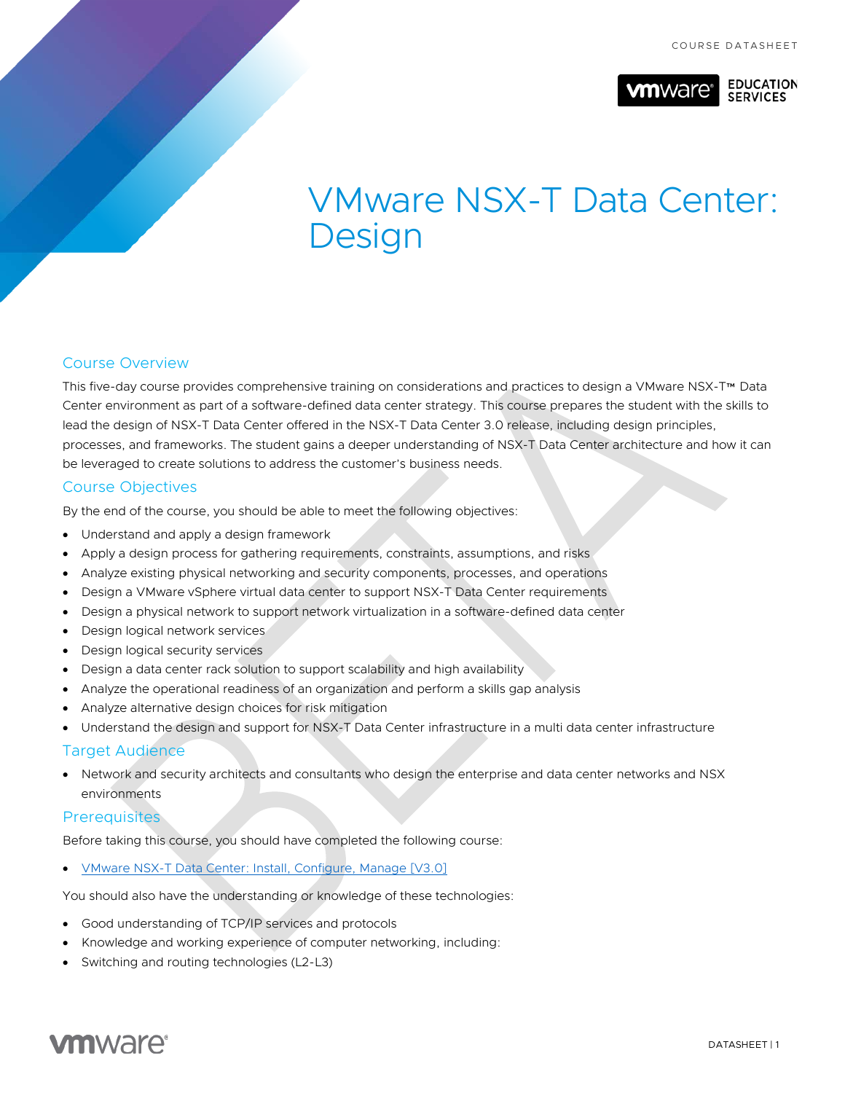

#### **EDUCATION SERVICES**

# VMware NSX-T Data Center: **Design**

# Course Overview

This five-day course provides comprehensive training on considerations and practices to design a VMware NSX-T™ Data Center environment as part of a software-defined data center strategy. This course prepares the student with the skills to lead the design of NSX-T Data Center offered in the NSX-T Data Center 3.0 release, including design principles, processes, and frameworks. The student gains a deeper understanding of NSX-T Data Center architecture and how it can be leveraged to create solutions to address the customer's business needs.

# Course Objectives

By the end of the course, you should be able to meet the following objectives:

- Understand and apply a design framework
- Apply a design process for gathering requirements, constraints, assumptions, and risks
- Analyze existing physical networking and security components, processes, and operations
- Design a VMware vSphere virtual data center to support NSX-T Data Center requirements
- Design a physical network to support network virtualization in a software-defined data center
- Design logical network services
- Design logical security services
- Design a data center rack solution to support scalability and high availability
- Analyze the operational readiness of an organization and perform a skills gap analysis
- Analyze alternative design choices for risk mitigation
- Understand the design and support for NSX-T Data Center infrastructure in a multi data center infrastructure

# Target Audience

• Network and security architects and consultants who design the enterprise and data center networks and NSX environments

# **Prerequisites**

Before taking this course, you should have completed the following course:

• [VMware NSX-T Data Center: Install, Configure, Manage \[V3.0\]](https://mylearn.vmware.com/mgrReg/courses.cfm?ui=www_edu&a=one&id_subject=92720)

You should also have the understanding or knowledge of these technologies:

- Good understanding of TCP/IP services and protocols
- Knowledge and working experience of computer networking, including:
- Switching and routing technologies (L2-L3)

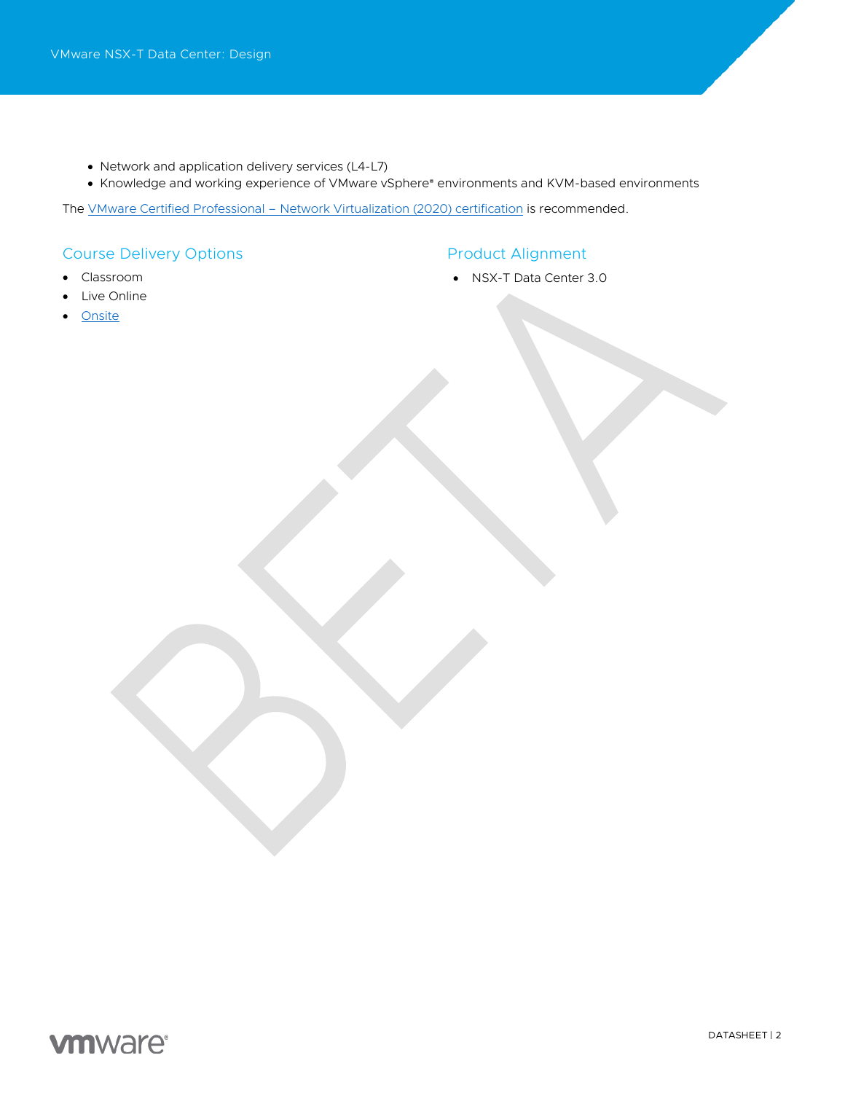- Network and application delivery services (L4-L7)
- Knowledge and working experience of VMware vSphere® environments and KVM-based environments

The VMware Certified Professional - [Network Virtualization \(2020\) certification](https://www.vmware.com/education-services/certification/vcp-nv-2019.html) is recommended.

# Course Delivery Options

# Product Alignment

- Classroom
- Live Online
- **[Onsite](https://mylearn.vmware.com/mgrReg/plan.cfm?plan=38045&ui=www_edu)**

• NSX-T Data Center 3.0